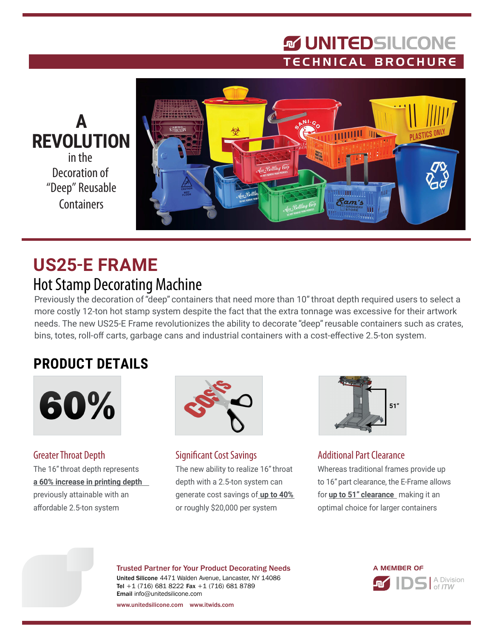## **MUNITEDSILICONE** TECHNICAL BROCHURE



# **US25-E FRAME** Hot Stamp Decorating Machine

Previously the decoration of "deep" containers that need more than 10" throat depth required users to select a more costly 12-ton hot stamp system despite the fact that the extra tonnage was excessive for their artwork needs. The new US25-E Frame revolutionizes the ability to decorate "deep" reusable containers such as crates, bins, totes, roll-off carts, garbage cans and industrial containers with a cost-effective 2.5-ton system.

## **PRODUCT DETAILS**



Greater Throat Depth The 16" throat depth represents **a 60% increase in printing depth** previously attainable with an affordable 2.5-ton system



Significant Cost Savings The new ability to realize 16" throat depth with a 2.5-ton system can generate cost savings of **up to 40%** or roughly \$20,000 per system



#### Additional Part Clearance

Whereas traditional frames provide up to 16" part clearance, the E-Frame allows for **up to 51" clearance** making it an optimal choice for larger containers

Trusted Partner for Your Product Decorating Needs United Silicone 4471 Walden Avenue, Lancaster, NY 14086 Tel +1 (716) 681 8222 Fax +1 (716) 681 8789 Email info@unitedsilicone.com



www.unitedsilicone.com www.itwids.com